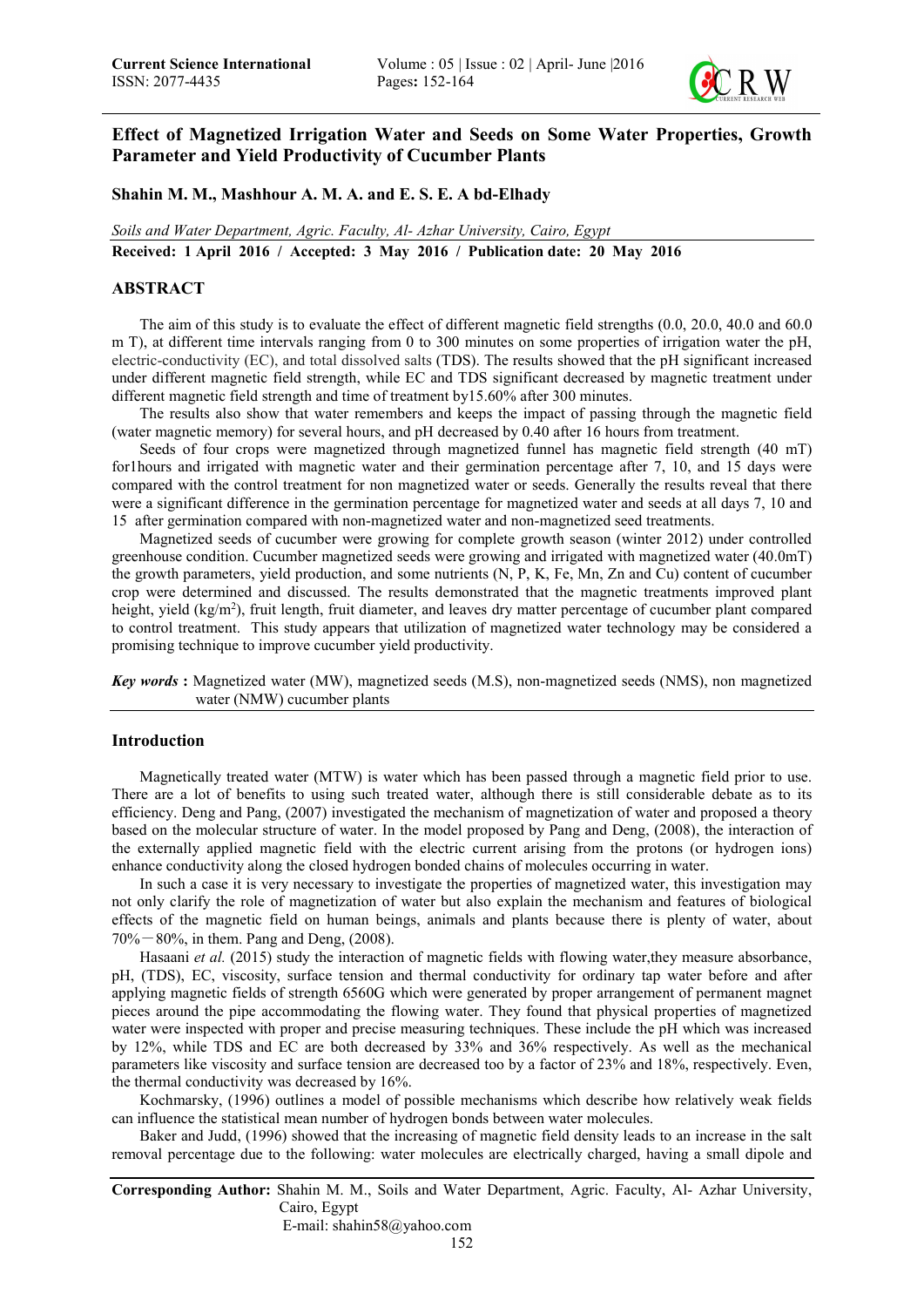

# Effect of Magnetized Irrigation Water and Seeds on Some Water Properties, Growth Parameter and Yield Productivity of Cucumber Plants

Shahin M. M., Mashhour A. M. A. and E. S. E. A bd-Elhady

*Soils and Water Department, Agric. Faculty, Al- Azhar University, Cairo, Egypt* Received: 1 April 2016 / Accepted: 3 May 2016 / Publication date: 20 May 2016

# ABSTRACT

The aim of this study is to evaluate the effect of different magnetic field strengths (0.0, 20.0, 40.0 and 60.0 m T), at different time intervals ranging from 0 to 300 minutes on some properties of irrigation water the pH, electric-conductivity (EC), and total dissolved salts (TDS). The results showed that the pH significant increased under different magnetic field strength, while EC and TDS significant decreased by magnetic treatment under different magnetic field strength and time of treatment by15.60% after 300 minutes.

The results also show that water remembers and keeps the impact of passing through the magnetic field (water magnetic memory) for several hours, and pH decreased by 0.40 after 16 hours from treatment.

Seeds of four crops were magnetized through magnetized funnel has magnetic field strength (40 mT) for1hours and irrigated with magnetic water and their germination percentage after 7, 10, and 15 days were compared with the control treatment for non magnetized water or seeds. Generally the results reveal that there were a significant difference in the germination percentage for magnetized water and seeds at all days 7, 10 and 15 after germination compared with non-magnetized water and non-magnetized seed treatments.

Magnetized seeds of cucumber were growing for complete growth season (winter 2012) under controlled greenhouse condition. Cucumber magnetized seeds were growing and irrigated with magnetized water (40.0mT) the growth parameters, yield production, and some nutrients (N, P, K, Fe, Mn, Zn and Cu) content of cucumber crop were determined and discussed. The results demonstrated that the magnetic treatments improved plant height, yield (kg/m<sup>2</sup>), fruit length, fruit diameter, and leaves dry matter percentage of cucumber plant compared to control treatment. This study appears that utilization of magnetized water technology may be considered a promising technique to improve cucumber yield productivity.

*Key words* : Magnetized water (MW), magnetized seeds (M.S), non-magnetized seeds (NMS), non magnetized water (NMW) cucumber plants

# Introduction

Magnetically treated water (MTW) is water which has been passed through a magnetic field prior to use. There are a lot of benefits to using such treated water, although there is still considerable debate as to its efficiency. Deng and Pang, (2007) investigated the mechanism of magnetization of water and proposed a theory based on the molecular structure of water. In the model proposed by Pang and Deng, (2008), the interaction of the externally applied magnetic field with the electric current arising from the protons (or hydrogen ions) enhance conductivity along the closed hydrogen bonded chains of molecules occurring in water.

In such a case it is very necessary to investigate the properties of magnetized water, this investigation may not only clarify the role of magnetization of water but also explain the mechanism and features of biological effects of the magnetic field on human beings, animals and plants because there is plenty of water, about  $70\% - 80\%$ , in them. Pang and Deng, (2008).

Hasaani *et al.* (2015) study the interaction of magnetic fields with flowing water,they measure absorbance, pH, (TDS), EC, viscosity, surface tension and thermal conductivity for ordinary tap water before and after applying magnetic fields of strength 6560G which were generated by proper arrangement of permanent magnet pieces around the pipe accommodating the flowing water. They found that physical properties of magnetized water were inspected with proper and precise measuring techniques. These include the pH which was increased by 12%, while TDS and EC are both decreased by 33% and 36% respectively. As well as the mechanical parameters like viscosity and surface tension are decreased too by a factor of 23% and 18%, respectively. Even, the thermal conductivity was decreased by 16%.

Kochmarsky, (1996) outlines a model of possible mechanisms which describe how relatively weak fields can influence the statistical mean number of hydrogen bonds between water molecules.

Baker and Judd, (1996) showed that the increasing of magnetic field density leads to an increase in the salt removal percentage due to the following: water molecules are electrically charged, having a small dipole and

Corresponding Author: Shahin M. M., Soils and Water Department, Agric. Faculty, Al- Azhar University, Cairo, Egypt

E-mail: shahin58@yahoo.com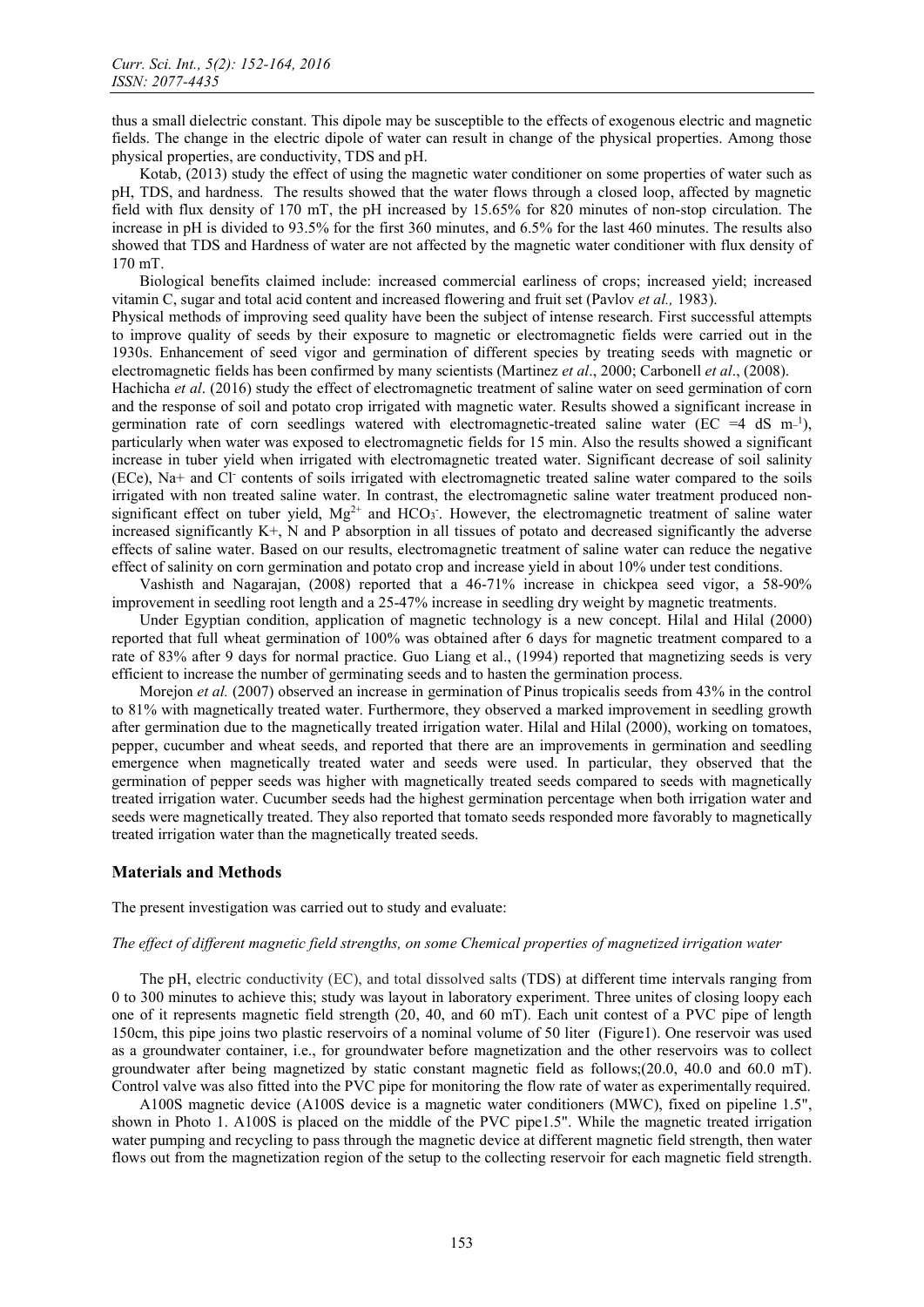thus a small dielectric constant. This dipole may be susceptible to the effects of exogenous electric and magnetic fields. The change in the electric dipole of water can result in change of the physical properties. Among those physical properties, are conductivity, TDS and pH.

Kotab, (2013) study the effect of using the magnetic water conditioner on some properties of water such as pH, TDS, and hardness. The results showed that the water flows through a closed loop, affected by magnetic field with flux density of 170 mT, the pH increased by 15.65% for 820 minutes of non-stop circulation. The increase in pH is divided to 93.5% for the first 360 minutes, and 6.5% for the last 460 minutes. The results also showed that TDS and Hardness of water are not affected by the magnetic water conditioner with flux density of 170 mT.

Biological benefits claimed include: increased commercial earliness of crops; increased yield; increased vitamin C, sugar and total acid content and increased flowering and fruit set (Pavlov *et al.,* 1983).

Physical methods of improving seed quality have been the subject of intense research. First successful attempts to improve quality of seeds by their exposure to magnetic or electromagnetic fields were carried out in the 1930s. Enhancement of seed vigor and germination of different species by treating seeds with magnetic or electromagnetic fields has been confirmed by many scientists (Martinez *et al*., 2000; Carbonell *et al*., (2008).

Hachicha *et al*. (2016) study the effect of electromagnetic treatment of saline water on seed germination of corn and the response of soil and potato crop irrigated with magnetic water. Results showed a significant increase in germination rate of corn seedlings watered with electromagnetic-treated saline water (EC =4 dS m-1), particularly when water was exposed to electromagnetic fields for 15 min. Also the results showed a significant increase in tuber yield when irrigated with electromagnetic treated water. Significant decrease of soil salinity (ECe), Na+ and Cl- contents of soils irrigated with electromagnetic treated saline water compared to the soils irrigated with non treated saline water. In contrast, the electromagnetic saline water treatment produced nonsignificant effect on tuber yield,  $Mg^{2+}$  and HCO<sub>3</sub>. However, the electromagnetic treatment of saline water increased significantly K+, N and P absorption in all tissues of potato and decreased significantly the adverse effects of saline water. Based on our results, electromagnetic treatment of saline water can reduce the negative effect of salinity on corn germination and potato crop and increase yield in about 10% under test conditions.

Vashisth and Nagarajan, (2008) reported that a 46-71% increase in chickpea seed vigor, a 58-90% improvement in seedling root length and a 25-47% increase in seedling dry weight by magnetic treatments.

Under Egyptian condition, application of magnetic technology is a new concept. Hilal and Hilal (2000) reported that full wheat germination of 100% was obtained after 6 days for magnetic treatment compared to a rate of 83% after 9 days for normal practice. Guo Liang et al., (1994) reported that magnetizing seeds is very efficient to increase the number of germinating seeds and to hasten the germination process.

Morejon *et al.* (2007) observed an increase in germination of Pinus tropicalis seeds from 43% in the control to 81% with magnetically treated water. Furthermore, they observed a marked improvement in seedling growth after germination due to the magnetically treated irrigation water. Hilal and Hilal (2000), working on tomatoes, pepper, cucumber and wheat seeds, and reported that there are an improvements in germination and seedling emergence when magnetically treated water and seeds were used. In particular, they observed that the germination of pepper seeds was higher with magnetically treated seeds compared to seeds with magnetically treated irrigation water. Cucumber seeds had the highest germination percentage when both irrigation water and seeds were magnetically treated. They also reported that tomato seeds responded more favorably to magnetically treated irrigation water than the magnetically treated seeds.

# Materials and Methods

The present investigation was carried out to study and evaluate:

#### *The effect of different magnetic field strengths, on some Chemical properties of magnetized irrigation water*

The pH, electric conductivity (EC), and total dissolved salts (TDS) at different time intervals ranging from 0 to 300 minutes to achieve this; study was layout in laboratory experiment. Three unites of closing loopy each one of it represents magnetic field strength (20, 40, and 60 mT). Each unit contest of a PVC pipe of length 150cm, this pipe joins two plastic reservoirs of a nominal volume of 50 liter (Figure1). One reservoir was used as a groundwater container, i.e., for groundwater before magnetization and the other reservoirs was to collect groundwater after being magnetized by static constant magnetic field as follows;(20.0, 40.0 and 60.0 mT). Control valve was also fitted into the PVC pipe for monitoring the flow rate of water as experimentally required.

A100S magnetic device (A100S device is a magnetic water conditioners (MWC), fixed on pipeline 1.5", shown in Photo 1. A100S is placed on the middle of the PVC pipe1.5". While the magnetic treated irrigation water pumping and recycling to pass through the magnetic device at different magnetic field strength, then water flows out from the magnetization region of the setup to the collecting reservoir for each magnetic field strength.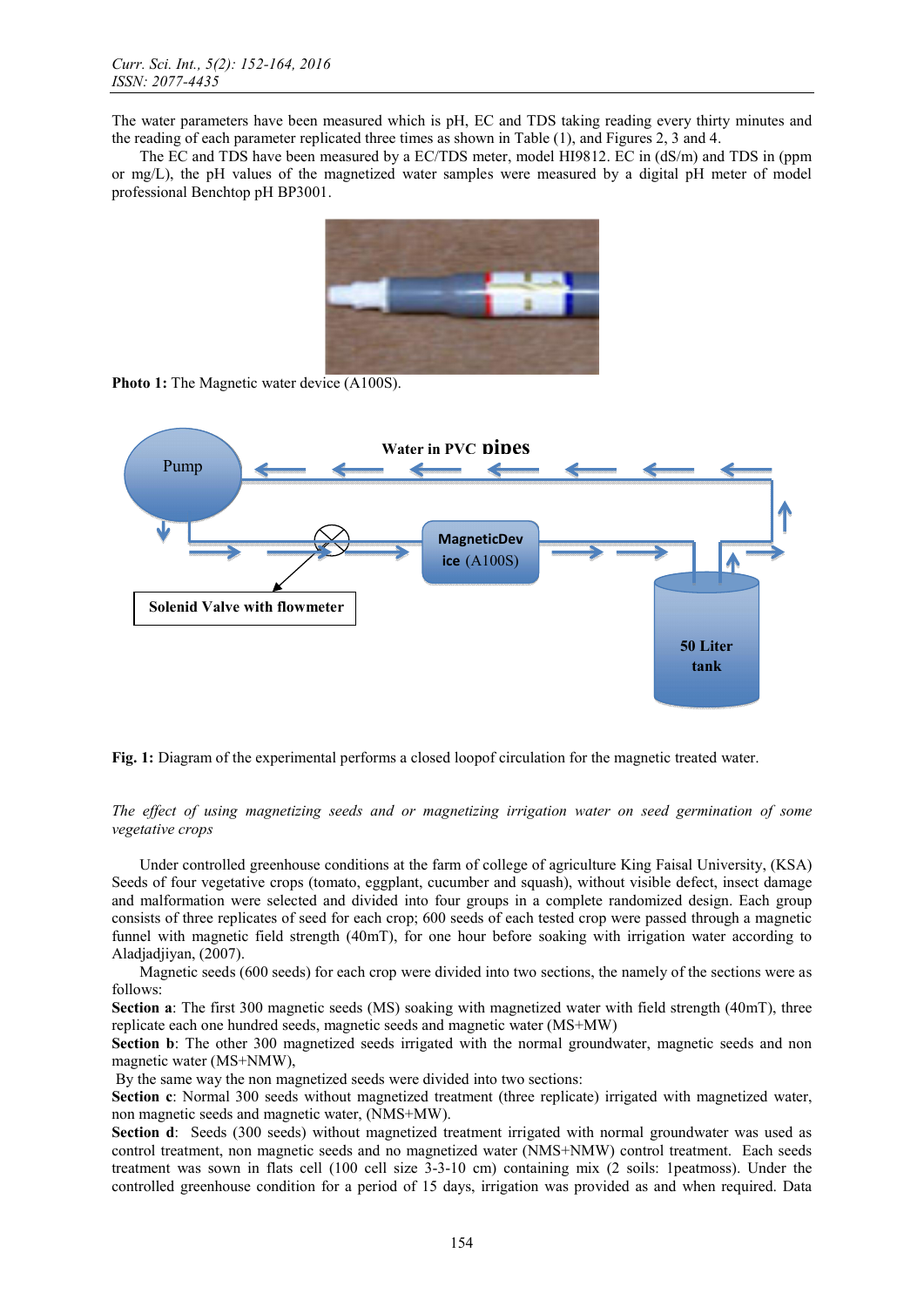The water parameters have been measured which is pH, EC and TDS taking reading every thirty minutes and the reading of each parameter replicated three times as shown in Table (1), and Figures 2, 3 and 4.

The EC and TDS have been measured by a EC/TDS meter, model HI9812. EC in (dS/m) and TDS in (ppm or mg/L), the pH values of the magnetized water samples were measured by a digital pH meter of model professional Benchtop pH BP3001.



Photo 1: The Magnetic water device (A100S).



Fig. 1: Diagram of the experimental performs a closed loopof circulation for the magnetic treated water.

*The effect of using magnetizing seeds and or magnetizing irrigation water on seed germination of some vegetative crops*

Under controlled greenhouse conditions at the farm of college of agriculture King Faisal University, (KSA) Seeds of four vegetative crops (tomato, eggplant, cucumber and squash), without visible defect, insect damage and malformation were selected and divided into four groups in a complete randomized design. Each group consists of three replicates of seed for each crop; 600 seeds of each tested crop were passed through a magnetic funnel with magnetic field strength (40mT), for one hour before soaking with irrigation water according to Aladjadjiyan, (2007).

Magnetic seeds (600 seeds) for each crop were divided into two sections, the namely of the sections were as follows:

Section a: The first 300 magnetic seeds (MS) soaking with magnetized water with field strength (40mT), three replicate each one hundred seeds, magnetic seeds and magnetic water (MS+MW)

Section b: The other 300 magnetized seeds irrigated with the normal groundwater, magnetic seeds and non magnetic water (MS+NMW),

By the same way the non magnetized seeds were divided into two sections:

Section c: Normal 300 seeds without magnetized treatment (three replicate) irrigated with magnetized water, non magnetic seeds and magnetic water, (NMS+MW).

Section d: Seeds (300 seeds) without magnetized treatment irrigated with normal groundwater was used as control treatment, non magnetic seeds and no magnetized water (NMS+NMW) control treatment. Each seeds treatment was sown in flats cell (100 cell size 3-3-10 cm) containing mix (2 soils: 1peatmoss). Under the controlled greenhouse condition for a period of 15 days, irrigation was provided as and when required. Data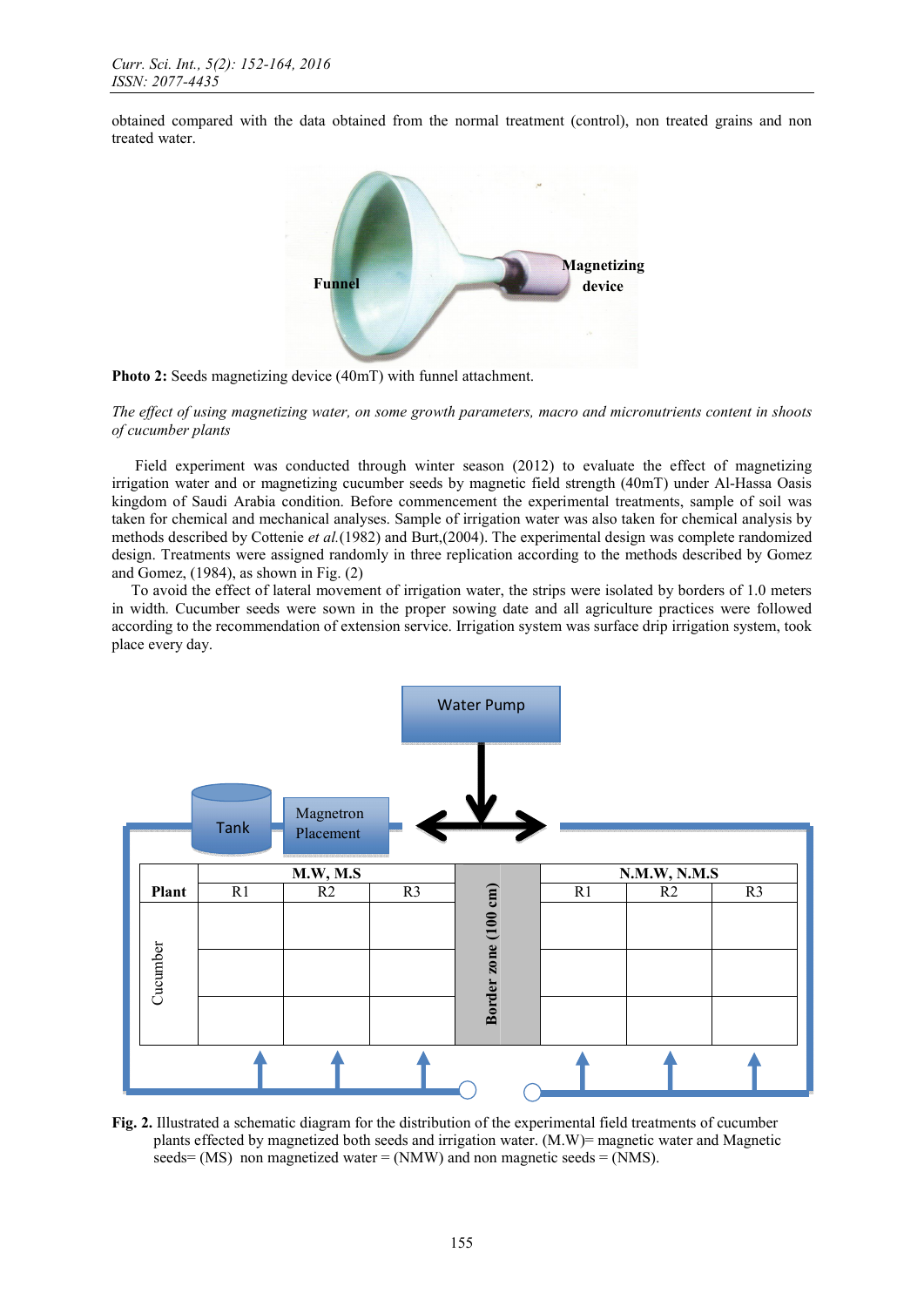obtained compared with the data obtained from the normal treatment (control), non treated grains and non treated water.





*The effect of using magnetizing water, on some growth parameters, macro and micronutrients content in shoots of cucumber plants*

 Field experiment was conducted through winter season (2012) to evaluate the effect of magnetizing irrigation water and or magnetizing cucumber seeds by magnetic field strength (40mT) under Al-Hassa Oasis kingdom of Saudi Arabia condition. Before commencement the experimental treatments, sample of soil was taken for chemical and mechanical analyses. Sample of irrigation water was also taken for chemical analysis by methods described by Cottenie *et al.*(1982) and Burt,(2004). The experimental design was complete randomized design. Treatments were assigned randomly in three replication according to the methods described by Gomez and Gomez, (1984), as shown in Fig. (2)

 To avoid the effect of lateral movement of irrigation water, the strips were isolated by borders of 1.0 meters in width. Cucumber seeds were sown in the proper sowing date and all agriculture practices were followed according to the recommendation of extension service. Irrigation system was surface drip irrigation system, took place every day.



Fig. 2. Illustrated a schematic diagram for the distribution of the experimental field treatments of cucumber plants effected by magnetized both seeds and irrigation water. (M.W)= magnetic water and Magnetic seeds=  $(MS)$  non magnetized water =  $(NMW)$  and non magnetic seeds =  $(NMS)$ .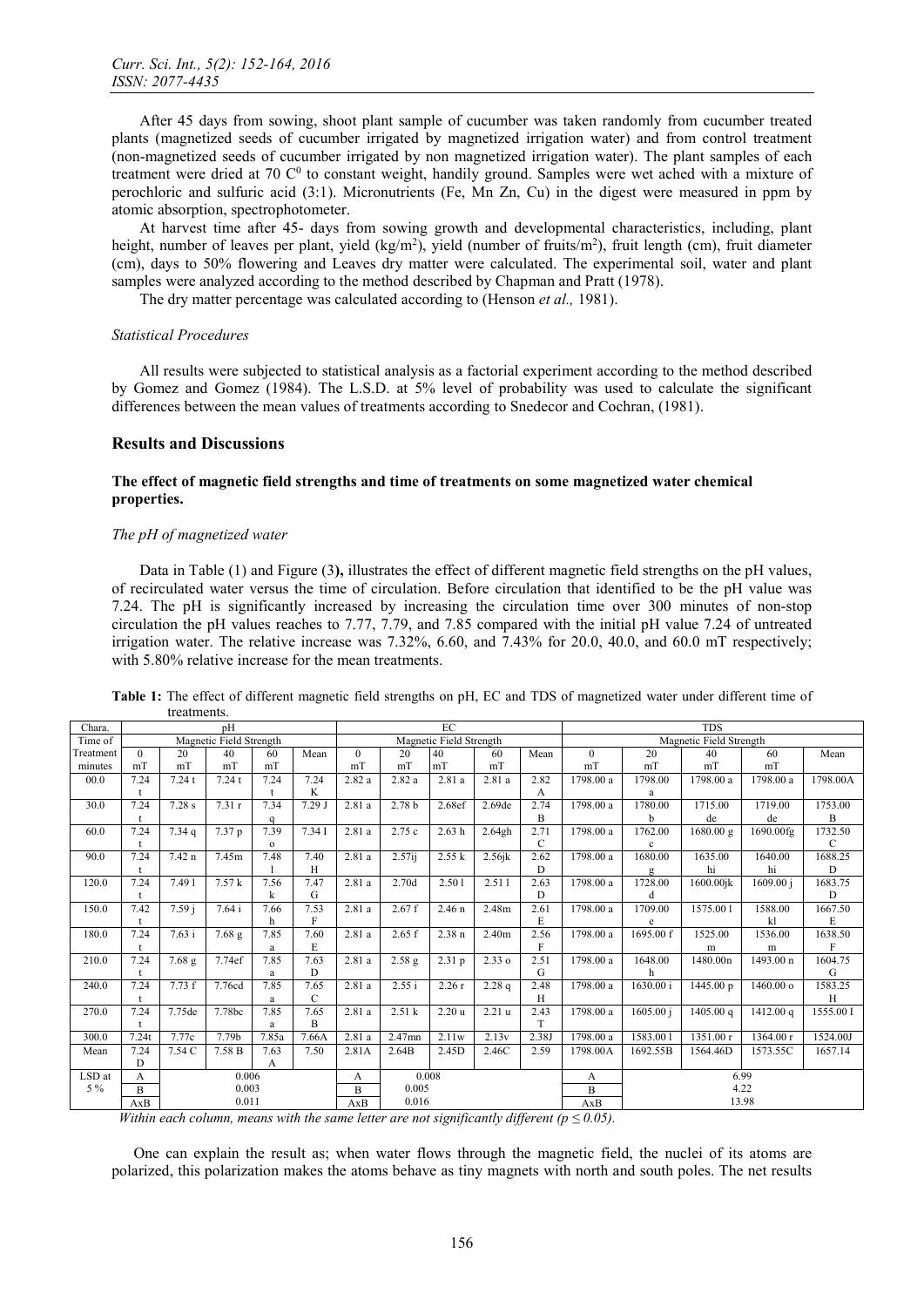After 45 days from sowing, shoot plant sample of cucumber was taken randomly from cucumber treated plants (magnetized seeds of cucumber irrigated by magnetized irrigation water) and from control treatment (non-magnetized seeds of cucumber irrigated by non magnetized irrigation water). The plant samples of each treatment were dried at 70 C<sup>0</sup> to constant weight, handily ground. Samples were wet ached with a mixture of perochloric and sulfuric acid (3:1). Micronutrients (Fe, Mn Zn, Cu) in the digest were measured in ppm by atomic absorption, spectrophotometer.

At harvest time after 45- days from sowing growth and developmental characteristics, including, plant height, number of leaves per plant, yield (kg/m<sup>2</sup>), yield (number of fruits/m<sup>2</sup>), fruit length (cm), fruit diameter (cm), days to 50% flowering and Leaves dry matter were calculated. The experimental soil, water and plant samples were analyzed according to the method described by Chapman and Pratt (1978).

The dry matter percentage was calculated according to (Henson *et al.,* 1981).

#### *Statistical Procedures*

All results were subjected to statistical analysis as a factorial experiment according to the method described by Gomez and Gomez (1984). The L.S.D. at 5% level of probability was used to calculate the significant differences between the mean values of treatments according to Snedecor and Cochran, (1981).

# Results and Discussions

### The effect of magnetic field strengths and time of treatments on some magnetized water chemical properties.

#### *The pH of magnetized water*

Data in Table (1) and Figure (3), illustrates the effect of different magnetic field strengths on the pH values, of recirculated water versus the time of circulation. Before circulation that identified to be the pH value was 7.24. The pH is significantly increased by increasing the circulation time over 300 minutes of non-stop circulation the pH values reaches to 7.77, 7.79, and 7.85 compared with the initial pH value 7.24 of untreated irrigation water. The relative increase was 7.32%, 6.60, and 7.43% for 20.0, 40.0, and 60.0 mT respectively; with 5.80% relative increase for the mean treatments.

|                  | u vuunviiw. |                   |                         |              |        |          |           |                         |                   |       |                         |           |                     |                     |           |
|------------------|-------------|-------------------|-------------------------|--------------|--------|----------|-----------|-------------------------|-------------------|-------|-------------------------|-----------|---------------------|---------------------|-----------|
| Chara.           |             |                   | pΗ                      |              |        |          |           | EC                      |                   |       | <b>TDS</b>              |           |                     |                     |           |
| Time of          |             |                   | Magnetic Field Strength |              |        |          |           | Magnetic Field Strength |                   |       | Magnetic Field Strength |           |                     |                     |           |
| <b>Treatment</b> | $\Omega$    | 20                | 40                      | 60           | Mean   | $\theta$ | 20        | 40                      | 60                | Mean  | $\Omega$                | 20        | 40                  | 60                  | Mean      |
| minutes          | mT          | mT                | mT                      | mT           |        | mT       | mT        | mT                      | mT                |       | mT                      | mT        | mT                  | mT                  |           |
| 00.0             | 7.24        | 7.24t             | 7.24t                   | 7.24         | 7.24   | 2.82 a   | 2.82 a    | 2.81 a                  | 2.81 a            | 2.82  | 1798.00 a               | 1798.00   | 1798.00 a           | 1798.00 a           | 1798.00A  |
|                  |             |                   |                         |              | K      |          |           |                         |                   | A     |                         | a         |                     |                     |           |
| 30.0             | 7.24        | $7.28$ s          | 7.31r                   | 7.34         | 7.29J  | 2.81 a   | 2.78 b    | 2.68ef                  | 2.69de            | 2.74  | 1798.00 a               | 1780.00   | 1715.00             | 1719.00             | 1753.00   |
|                  |             |                   |                         | a            |        |          |           |                         |                   | B     |                         | b         | de                  | de                  | B         |
| 60.0             | 7.24        | 7.34q             | 7.37 p                  | 7.39         | 7.34 I | 2.81 a   | 2.75c     | 2.63h                   | 2.64gh            | 2.71  | 1798.00 a               | 1762.00   | 1680.00 g           | 1690.00fg           | 1732.50   |
|                  |             |                   |                         | $\mathbf{o}$ |        |          |           |                         |                   | C     |                         | c         |                     |                     | C         |
| 90.0             | 7.24        | 7.42 n            | 7.45m                   | 7.48         | 7.40   | 2.81a    | $2.57$ ij | 2.55 k                  | $2.56$ jk         | 2.62  | 1798.00 a               | 1680.00   | 1635.00             | 1640.00             | 1688.25   |
|                  |             |                   |                         |              | H      |          |           |                         |                   | D     |                         | g         | hi                  | hi                  | D         |
| 120.0            | 7.24        | 7.491             | 7.57k                   | 7.56         | 7.47   | 2.81 a   | 2.70d     | 2.501                   | 2.511             | 2.63  | 1798.00 a               | 1728.00   | 1600.00ik           | 1609.00 i           | 1683.75   |
|                  |             |                   |                         | k            | G      |          |           |                         |                   | D     |                         | d         |                     |                     | D         |
| 150.0            | 7.42        | 7.59i             | 7.64 i                  | 7.66         | 7.53   | 2.81 a   | 2.67f     | 2.46 <sub>n</sub>       | 2.48m             | 2.61  | 1798.00 a               | 1709.00   | 1575.001            | 1588.00             | 1667.50   |
|                  |             |                   |                         | h            | F      |          |           |                         |                   | E     |                         |           |                     | kl                  | E         |
| 180.0            | 7.24        | 7.63 i            | $7.68$ g                | 7.85         | 7.60   | 2.81a    | 2.65 f    | 2.38 <sub>n</sub>       | 2.40 <sub>m</sub> | 2.56  | 1798.00 a               | 1695.00 f | 1525.00             | 1536.00             | 1638.50   |
|                  |             |                   |                         | a            | E      |          |           |                         |                   | F     |                         |           | m                   | m                   | F         |
| 210.0            | 7.24        | 7.68 <sub>g</sub> | 7.74ef                  | 7.85         | 7.63   | 2.81a    | 2.58g     | $2.31\,\mathrm{p}$      | 2.33 <sub>o</sub> | 2.51  | 1798.00 a               | 1648.00   | 1480.00n            | 1493.00 n           | 1604.75   |
|                  |             |                   |                         | a            | D      |          |           |                         |                   | G     |                         |           |                     |                     | G         |
| 240.0            | 7.24        | 7.73 f            | 7.76cd                  | 7.85         | 7.65   | 2.81a    | 2.55 i    | 2.26r                   | 2.28q             | 2.48  | 1798.00 a               | 1630.00 i | 1445.00 p           | $1460.00 \text{ o}$ | 1583.25   |
|                  |             |                   |                         | a            | C      |          |           |                         |                   | H     |                         |           |                     |                     | H         |
| 270.0            | 7.24        | 7.75de            | 7.78bc                  | 7.85         | 7.65   | 2.81 a   | 2.51k     | 2.20u                   | 2.21u             | 2.43  | 1798.00 a               | 1605.00 i | $1405.00 \text{ a}$ | $1412.00 \text{ a}$ | 1555.00 I |
|                  |             |                   |                         | a            | B      |          |           |                         |                   | T     |                         |           |                     |                     |           |
| 300.0            | 7.24t       | 7.77c             | 7.79b                   | 7.85a        | 7.66A  | 2.81 a   | $2.47$ mn | 2.11w                   | 2.13v             | 2.38J | 1798.00 a               | 1583.001  | 1351.00 r           | 1364.00 г           | 1524.00J  |
| Mean             | 7.24        | 7.54 C            | 7.58 B                  | 7.63         | 7.50   | 2.81A    | 2.64B     | 2.45D                   | 2.46C             | 2.59  | 1798.00A                | 1692.55B  | 1564.46D            | 1573.55C            | 1657.14   |
|                  | D           |                   |                         | A            |        |          |           |                         |                   |       |                         |           |                     |                     |           |
| LSD at           | A           |                   | 0.006                   |              |        | А        |           | 0.008                   |                   |       | A                       |           |                     | 6.99                |           |
| $5\ \%$          | B           |                   | 0.003                   |              |        | B        | 0.005     |                         |                   |       | B                       |           |                     | 4.22                |           |
|                  | AxB         |                   | 0.011                   |              |        | AxB      | 0.016     |                         |                   |       | AxB                     |           |                     | 13.98               |           |

Table 1: The effect of different magnetic field strengths on pH, EC and TDS of magnetized water under different time of treatments

*Within each column, means with the same letter are not significantly different (* $p \le 0.05$ *).* 

One can explain the result as; when water flows through the magnetic field, the nuclei of its atoms are polarized, this polarization makes the atoms behave as tiny magnets with north and south poles. The net results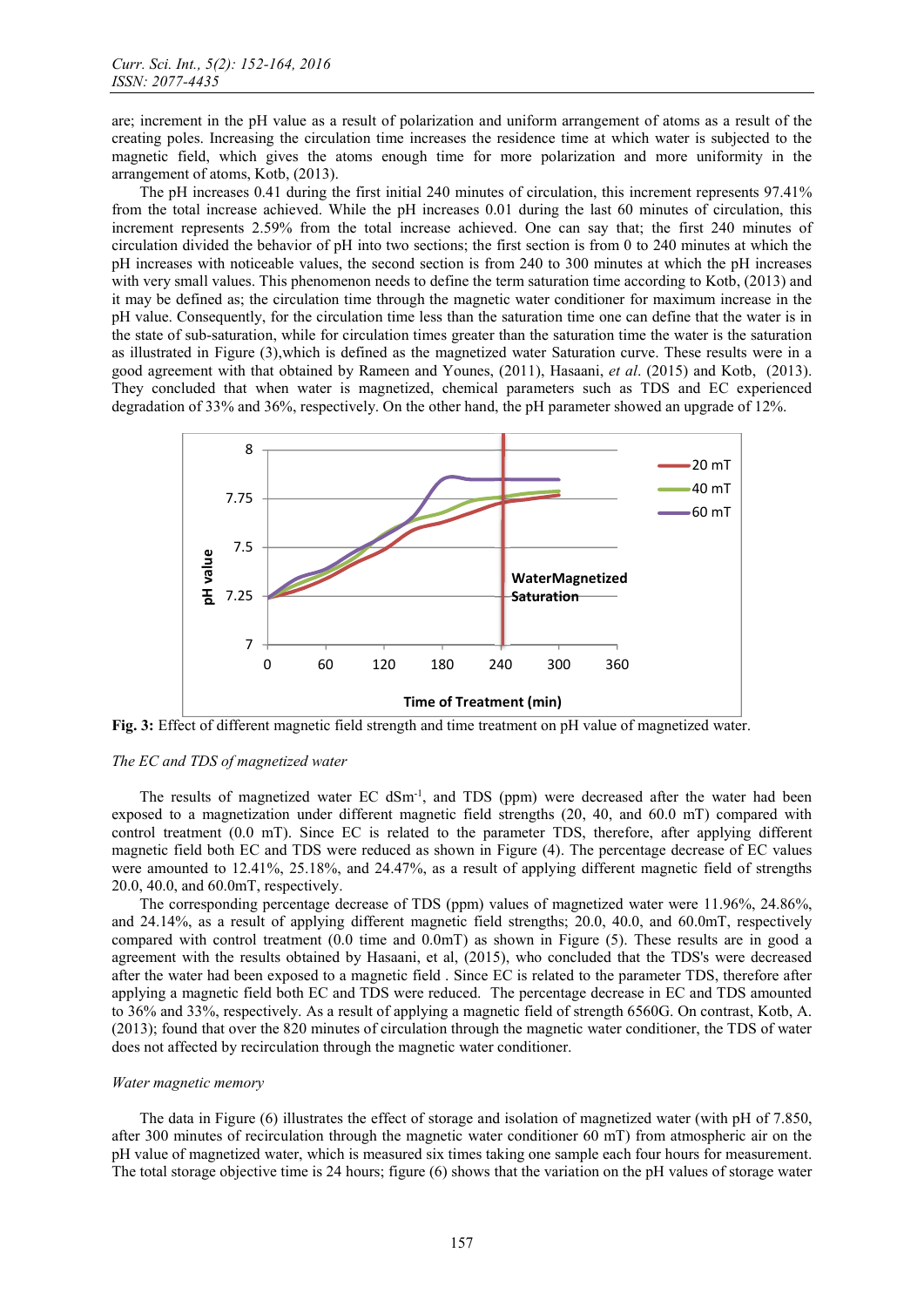are; increment in the pH value as a result of polarization and uniform arrangement of atoms as a result of the creating poles. Increasing the circulation time increases the residence time at which water is subjected to the magnetic field, which gives the atoms enough time for more polarization and more uniformity in the arrangement of atoms, Kotb, (2013).

The pH increases 0.41 during the first initial 240 minutes of circulation, this increment represents 97.41% from the total increase achieved. While the pH increases 0.01 during the last 60 minutes of circulation, this increment represents 2.59% from the total increase achieved. One can say that; the first 240 minutes of circulation divided the behavior of pH into two sections; the first section is from 0 to 240 minutes at which the pH increases with noticeable values, the second section is from 240 to 300 minutes at which the pH increases with very small values. This phenomenon needs to define the term saturation time according to Kotb, (2013) and it may be defined as; the circulation time through the magnetic water conditioner for maximum increase in the pH value. Consequently, for the circulation time less than the saturation time one can define that the water is in the state of sub-saturation, while for circulation times greater than the saturation time the water is the saturation as illustrated in Figure (3),which is defined as the magnetized water Saturation curve. These results were in a good agreement with that obtained by Rameen and Younes, (2011), Hasaani, *et al*. (2015) and Kotb, (2013). They concluded that when water is magnetized, chemical parameters such as TDS and EC experienced degradation of 33% and 36%, respectively. On the other hand, the pH parameter showed an upgrade of 12%.



Fig. 3: Effect of different magnetic field strength and time treatment on pH value of magnetized water.

#### *The EC and TDS of magnetized water*

The results of magnetized water EC dSm<sup>-1</sup>, and TDS (ppm) were decreased after the water had been exposed to a magnetization under different magnetic field strengths (20, 40, and 60.0 mT) compared with control treatment (0.0 mT). Since EC is related to the parameter TDS, therefore, after applying different magnetic field both EC and TDS were reduced as shown in Figure (4). The percentage decrease of EC values were amounted to 12.41%, 25.18%, and 24.47%, as a result of applying different magnetic field of strengths 20.0, 40.0, and 60.0mT, respectively.

The corresponding percentage decrease of TDS (ppm) values of magnetized water were 11.96%, 24.86%, and 24.14%, as a result of applying different magnetic field strengths; 20.0, 40.0, and 60.0mT, respectively compared with control treatment (0.0 time and 0.0mT) as shown in Figure (5). These results are in good a agreement with the results obtained by Hasaani, et al, (2015), who concluded that the TDS's were decreased after the water had been exposed to a magnetic field . Since EC is related to the parameter TDS, therefore after applying a magnetic field both EC and TDS were reduced. The percentage decrease in EC and TDS amounted to 36% and 33%, respectively. As a result of applying a magnetic field of strength 6560G. On contrast, Kotb, A. (2013); found that over the 820 minutes of circulation through the magnetic water conditioner, the TDS of water does not affected by recirculation through the magnetic water conditioner.

#### *Water magnetic memory*

The data in Figure (6) illustrates the effect of storage and isolation of magnetized water (with pH of 7.850, after 300 minutes of recirculation through the magnetic water conditioner 60 mT) from atmospheric air on the pH value of magnetized water, which is measured six times taking one sample each four hours for measurement. The total storage objective time is 24 hours; figure (6) shows that the variation on the pH values of storage water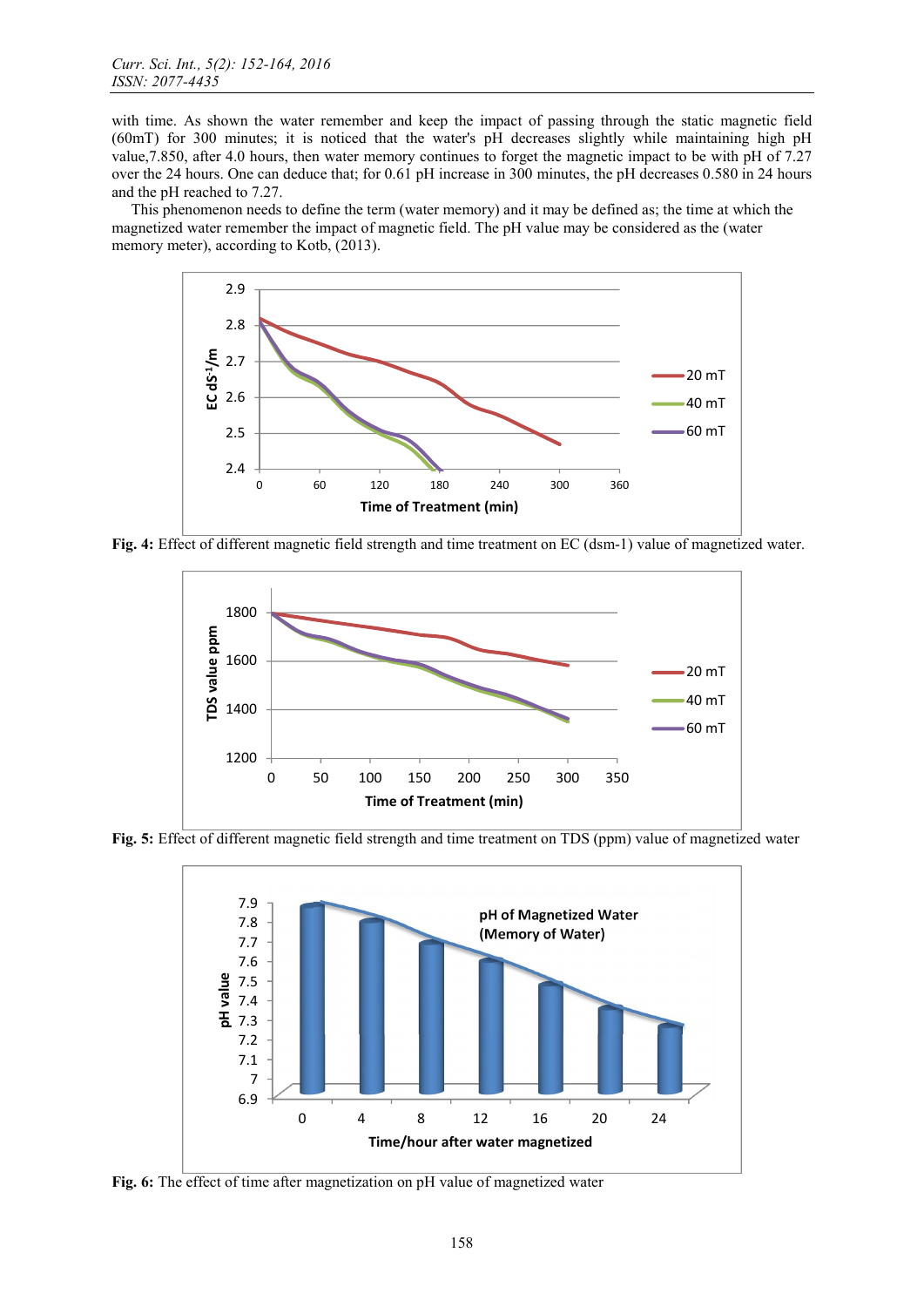with time. As shown the water remember and keep the impact of passing through the static magnetic field (60mT) for 300 minutes; it is noticed that the water's pH decreases slightly while maintaining high pH value,7.850, after 4.0 hours, then water memory continues to forget the magnetic impact to be with pH of 7.27 over the 24 hours. One can deduce that; for 0.61 pH increase in 300 minutes, the pH decreases 0.580 in 24 hours and the pH reached to 7.27.

 This phenomenon needs to define the term (water memory) and it may be defined as; the time at which the magnetized water remember the impact of magnetic field. The pH value may be considered as the (water memory meter), according to Kotb, (2013).



Fig. 4: Effect of different magnetic field strength and time treatment on EC (dsm-1) value of magnetized water.



Fig. 5: Effect of different magnetic field strength and time treatment on TDS (ppm) value of magnetized water



Fig. 6: The effect of time after magnetization on pH value of magnetized water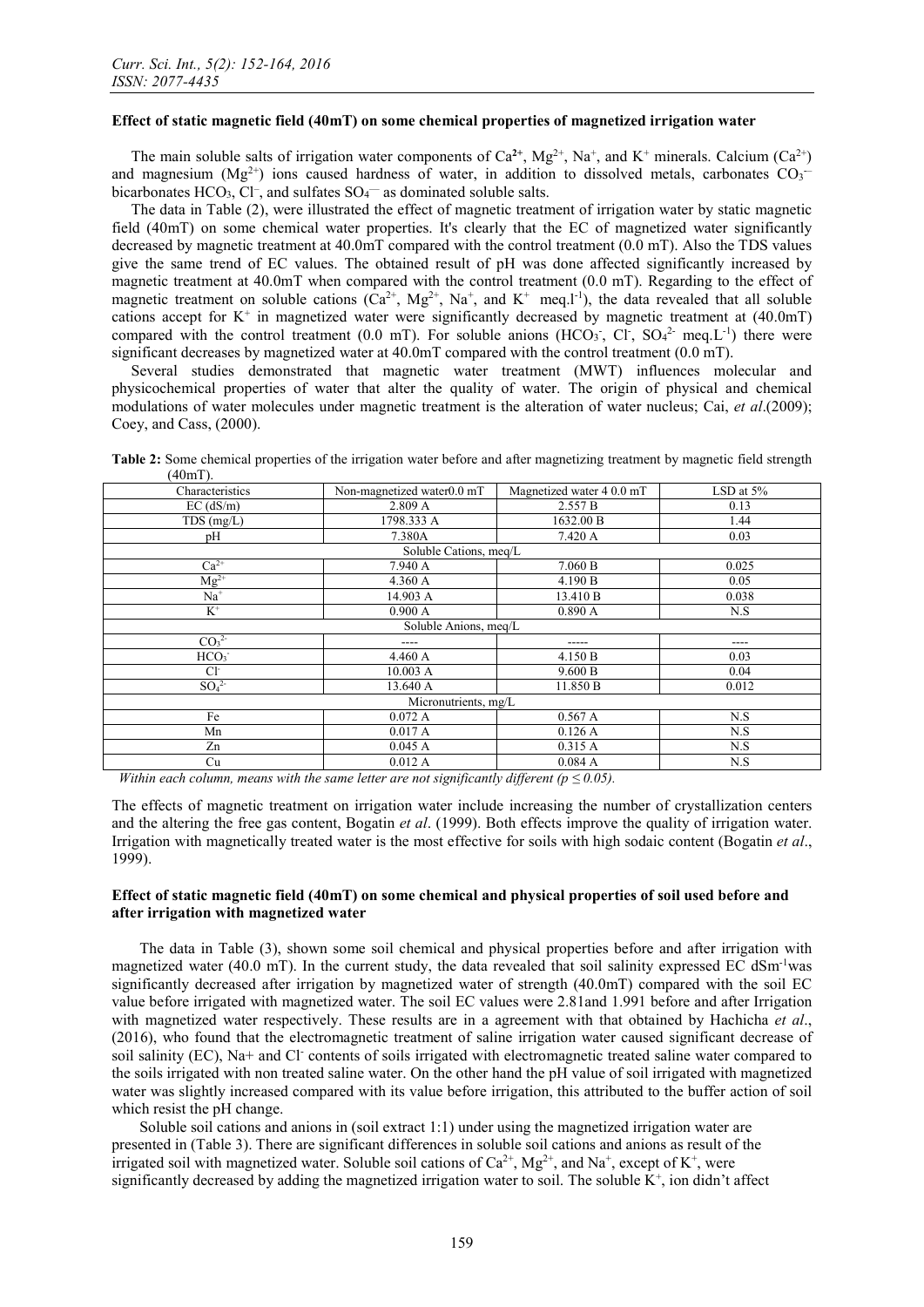#### Effect of static magnetic field (40mT) on some chemical properties of magnetized irrigation water

The main soluble salts of irrigation water components of  $Ca^{2+}$ ,  $Mg^{2+}$ , Na<sup>+</sup>, and K<sup>+</sup> minerals. Calcium ( $Ca^{2+}$ ) and magnesium (Mg<sup>2+</sup>) ions caused hardness of water, in addition to dissolved metals, carbonates  $CO_3$ bicarbonates  $HCO<sub>3</sub>, Cl<sup>-</sup>,$  and sulfates  $SO<sub>4</sub><sup>-</sup>$  as dominated soluble salts.

 The data in Table (2), were illustrated the effect of magnetic treatment of irrigation water by static magnetic field (40mT) on some chemical water properties. It's clearly that the EC of magnetized water significantly decreased by magnetic treatment at 40.0mT compared with the control treatment (0.0 mT). Also the TDS values give the same trend of EC values. The obtained result of pH was done affected significantly increased by magnetic treatment at 40.0mT when compared with the control treatment (0.0 mT). Regarding to the effect of magnetic treatment on soluble cations  $(Ca^{2+}, Mg^{2+}, Na^+, and K^+$  meq.l<sup>-1</sup>), the data revealed that all soluble cations accept for  $K^+$  in magnetized water were significantly decreased by magnetic treatment at  $(40.0\text{mT})$ compared with the control treatment  $(0.0 \text{ mT})$ . For soluble anions  $(HCO_3)$ , Cl,  $SO_4$ <sup>2-</sup> meq.L<sup>-1</sup>) there were significant decreases by magnetized water at 40.0mT compared with the control treatment (0.0 mT).

 Several studies demonstrated that magnetic water treatment (MWT) influences molecular and physicochemical properties of water that alter the quality of water. The origin of physical and chemical modulations of water molecules under magnetic treatment is the alteration of water nucleus; Cai, *et al*.(2009); Coey, and Cass, (2000).

| Characteristics              | Non-magnetized water0.0 mT | Magnetized water 4 0.0 mT | LSD at 5% |  |  |  |  |  |  |
|------------------------------|----------------------------|---------------------------|-----------|--|--|--|--|--|--|
| $EC$ (dS/m)                  | 2.809 A                    | 2.557 B                   | 0.13      |  |  |  |  |  |  |
| $TDS$ (mg/L)                 | 1798.333 A                 | 1632.00 B                 | 1.44      |  |  |  |  |  |  |
| pH                           | 7.380A                     | 7.420 A                   | 0.03      |  |  |  |  |  |  |
| Soluble Cations, meq/L       |                            |                           |           |  |  |  |  |  |  |
| $Ca^{2+}$                    | 7.940 A                    | 7.060 B                   | 0.025     |  |  |  |  |  |  |
| $Mg^{2+}$                    | 4.360 A                    | 4.190 B                   | 0.05      |  |  |  |  |  |  |
| $Na+$                        | 14.903 A                   | 13.410 B                  | 0.038     |  |  |  |  |  |  |
| $K^+$                        | 0.900 A                    | 0.890A                    | N.S       |  |  |  |  |  |  |
| Soluble Anions, meg/L        |                            |                           |           |  |  |  |  |  |  |
| CO <sub>3</sub> <sup>2</sup> |                            | -----                     | ----      |  |  |  |  |  |  |
| HCO <sub>3</sub>             | 4.460 A                    | 4.150 B                   | 0.03      |  |  |  |  |  |  |
| Cl <sup>2</sup>              | 10.003 A                   | 9.600 B                   | 0.04      |  |  |  |  |  |  |
| SO <sub>4</sub> <sup>2</sup> | 13.640 A                   | 11.850 B                  | 0.012     |  |  |  |  |  |  |
|                              | Micronutrients, mg/L       |                           |           |  |  |  |  |  |  |
| Fe                           | 0.072A                     | 0.567A                    | N.S       |  |  |  |  |  |  |
| Mn                           | 0.017A                     | 0.126A                    | N.S       |  |  |  |  |  |  |
| Zn                           | 0.045A                     | 0.315 A                   | N.S       |  |  |  |  |  |  |
| Cu                           | 0.012A                     | 0.084A                    | N.S       |  |  |  |  |  |  |

Table 2: Some chemical properties of the irrigation water before and after magnetizing treatment by magnetic field strength  $(40mT)$ 

*Within each column, means with the same letter are not significantly different (* $p \le 0.05$ *).* 

The effects of magnetic treatment on irrigation water include increasing the number of crystallization centers and the altering the free gas content, Bogatin *et al*. (1999). Both effects improve the quality of irrigation water. Irrigation with magnetically treated water is the most effective for soils with high sodaic content (Bogatin *et al*., 1999).

# Effect of static magnetic field (40mT) on some chemical and physical properties of soil used before and after irrigation with magnetized water

The data in Table (3), shown some soil chemical and physical properties before and after irrigation with magnetized water (40.0 mT). In the current study, the data revealed that soil salinity expressed EC dSm<sup>-1</sup>was significantly decreased after irrigation by magnetized water of strength (40.0mT) compared with the soil EC value before irrigated with magnetized water. The soil EC values were 2.81and 1.991 before and after Irrigation with magnetized water respectively. These results are in a agreement with that obtained by Hachicha *et al*., (2016), who found that the electromagnetic treatment of saline irrigation water caused significant decrease of soil salinity (EC), Na+ and Cl<sup>-</sup> contents of soils irrigated with electromagnetic treated saline water compared to the soils irrigated with non treated saline water. On the other hand the pH value of soil irrigated with magnetized water was slightly increased compared with its value before irrigation, this attributed to the buffer action of soil which resist the pH change.

Soluble soil cations and anions in (soil extract 1:1) under using the magnetized irrigation water are presented in (Table 3). There are significant differences in soluble soil cations and anions as result of the irrigated soil with magnetized water. Soluble soil cations of  $Ca^{2+}$ ,  $Mg^{2+}$ , and Na<sup>+</sup>, except of K<sup>+</sup>, were significantly decreased by adding the magnetized irrigation water to soil. The soluble  $K^+$ , ion didn't affect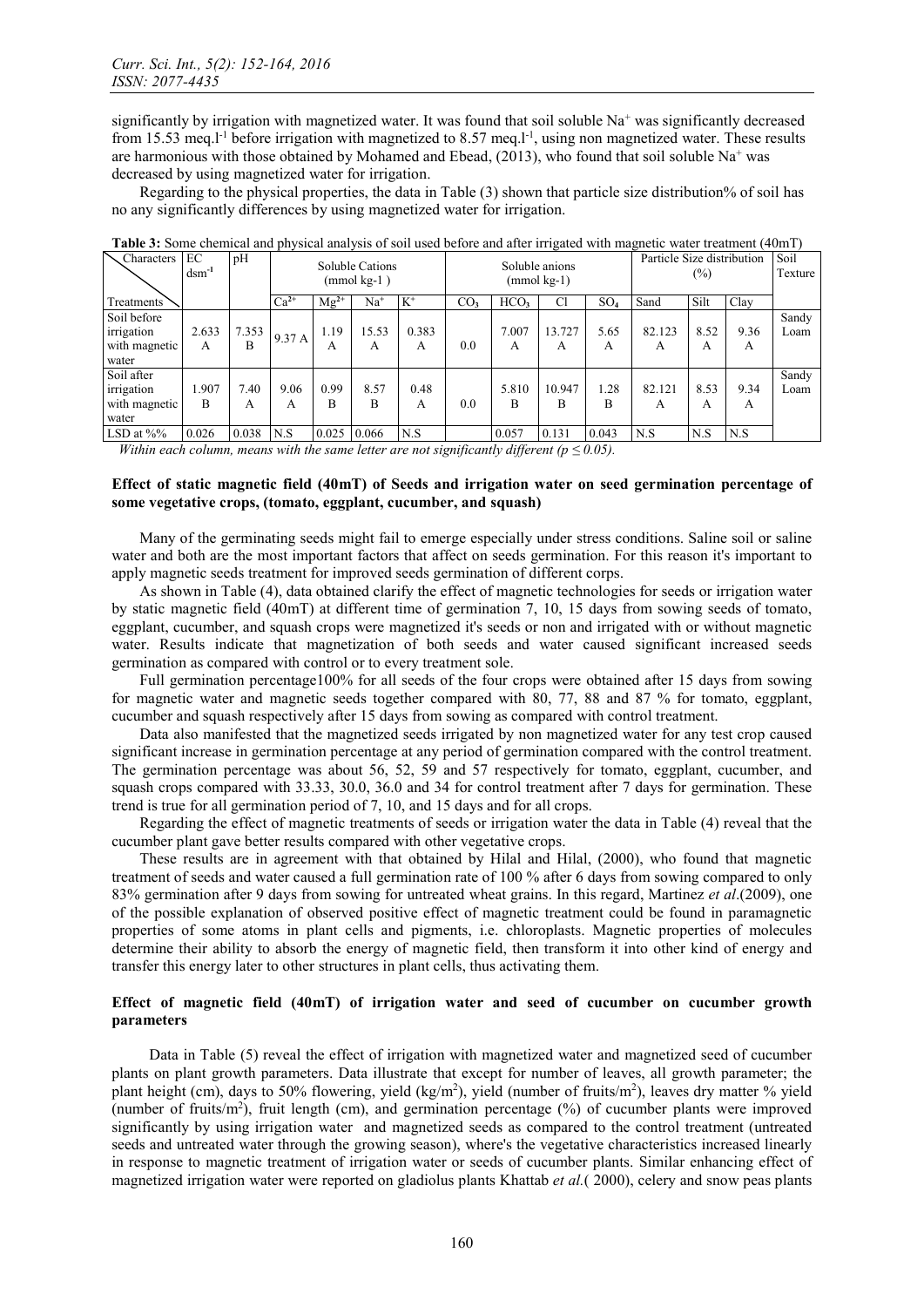significantly by irrigation with magnetized water. It was found that soil soluble Na<sup>+</sup> was significantly decreased from 15.53 meq.<sup>1-1</sup> before irrigation with magnetized to 8.57 meq.1<sup>-1</sup>, using non magnetized water. These results are harmonious with those obtained by Mohamed and Ebead, (2013), who found that soil soluble  $Na<sup>+</sup>$  was decreased by using magnetized water for irrigation.

Regarding to the physical properties, the data in Table (3) shown that particle size distribution% of soil has no any significantly differences by using magnetized water for irrigation.

| Characters                                          | EC<br>$dcm^{-1}$ | pH         | Soluble Cations<br>$(mmol kg-1)$ |           |            | Soluble anions<br>$(mmol kg-1)$ |                 |                  | Particle Size distribution<br>$(\%)$ |                 |             | Soil<br>Texture |           |               |
|-----------------------------------------------------|------------------|------------|----------------------------------|-----------|------------|---------------------------------|-----------------|------------------|--------------------------------------|-----------------|-------------|-----------------|-----------|---------------|
| Treatments                                          |                  |            | $Ca2+$                           | $Mg^{2+}$ | $Na+$      | $K^+$                           | CO <sub>3</sub> | HCO <sub>2</sub> | Cl                                   | SO <sub>4</sub> | Sand        | Silt            | Clay      |               |
| Soil before<br>irrigation<br>with magnetic<br>water | 2.633<br>A       | 7.353<br>B | 9.37 A                           | 1.19<br>A | 15.53<br>А | 0.383<br>А                      | 0.0             | 7.007<br>A       | 13.727<br>А                          | 5.65<br>А       | 82.123<br>A | 8.52<br>А       | 9.36<br>A | Sandy<br>Loam |
| Soil after<br>irrigation<br>with magnetic<br>water  | .907<br>B        | 7.40<br>А  | 9.06<br>A                        | 0.99<br>B | 8.57<br>B  | 0.48<br>А                       | 0.0             | 5.810<br>B       | 10.947<br>B                          | 1.28<br>B       | 82.121<br>A | 8.53<br>А       | 9.34<br>A | Sandy<br>Loam |
| LSD at $\%%$                                        | 0.026            | 0.038      | N.S                              | 0.025     | 0.066      | N.S                             |                 | 0.057            | 0.131                                | 0.043           | N.S         | N.S             | N.S       |               |

Table 3: Some chemical and physical analysis of soil used before and after irrigated with magnetic water treatment (40mT)

*Within each column, means with the same letter are not significantly different (* $p \le 0.05$ *).* 

# Effect of static magnetic field (40mT) of Seeds and irrigation water on seed germination percentage of some vegetative crops, (tomato, eggplant, cucumber, and squash)

Many of the germinating seeds might fail to emerge especially under stress conditions. Saline soil or saline water and both are the most important factors that affect on seeds germination. For this reason it's important to apply magnetic seeds treatment for improved seeds germination of different corps.

As shown in Table (4), data obtained clarify the effect of magnetic technologies for seeds or irrigation water by static magnetic field (40mT) at different time of germination 7, 10, 15 days from sowing seeds of tomato, eggplant, cucumber, and squash crops were magnetized it's seeds or non and irrigated with or without magnetic water. Results indicate that magnetization of both seeds and water caused significant increased seeds germination as compared with control or to every treatment sole.

Full germination percentage100% for all seeds of the four crops were obtained after 15 days from sowing for magnetic water and magnetic seeds together compared with 80, 77, 88 and 87 % for tomato, eggplant, cucumber and squash respectively after 15 days from sowing as compared with control treatment.

Data also manifested that the magnetized seeds irrigated by non magnetized water for any test crop caused significant increase in germination percentage at any period of germination compared with the control treatment. The germination percentage was about 56, 52, 59 and 57 respectively for tomato, eggplant, cucumber, and squash crops compared with 33.33, 30.0, 36.0 and 34 for control treatment after 7 days for germination. These trend is true for all germination period of 7, 10, and 15 days and for all crops.

Regarding the effect of magnetic treatments of seeds or irrigation water the data in Table (4) reveal that the cucumber plant gave better results compared with other vegetative crops.

These results are in agreement with that obtained by Hilal and Hilal, (2000), who found that magnetic treatment of seeds and water caused a full germination rate of 100 % after 6 days from sowing compared to only 83% germination after 9 days from sowing for untreated wheat grains. In this regard, Martinez *et al*.(2009), one of the possible explanation of observed positive effect of magnetic treatment could be found in paramagnetic properties of some atoms in plant cells and pigments, i.e. chloroplasts. Magnetic properties of molecules determine their ability to absorb the energy of magnetic field, then transform it into other kind of energy and transfer this energy later to other structures in plant cells, thus activating them.

# Effect of magnetic field (40mT) of irrigation water and seed of cucumber on cucumber growth parameters

 Data in Table (5) reveal the effect of irrigation with magnetized water and magnetized seed of cucumber plants on plant growth parameters. Data illustrate that except for number of leaves, all growth parameter; the plant height (cm), days to 50% flowering, yield (kg/m<sup>2</sup>), yield (number of fruits/m<sup>2</sup>), leaves dry matter % yield (number of fruits/m<sup>2</sup>), fruit length (cm), and germination percentage (%) of cucumber plants were improved significantly by using irrigation water and magnetized seeds as compared to the control treatment (untreated seeds and untreated water through the growing season), where's the vegetative characteristics increased linearly in response to magnetic treatment of irrigation water or seeds of cucumber plants. Similar enhancing effect of magnetized irrigation water were reported on gladiolus plants Khattab *et al.*( 2000), celery and snow peas plants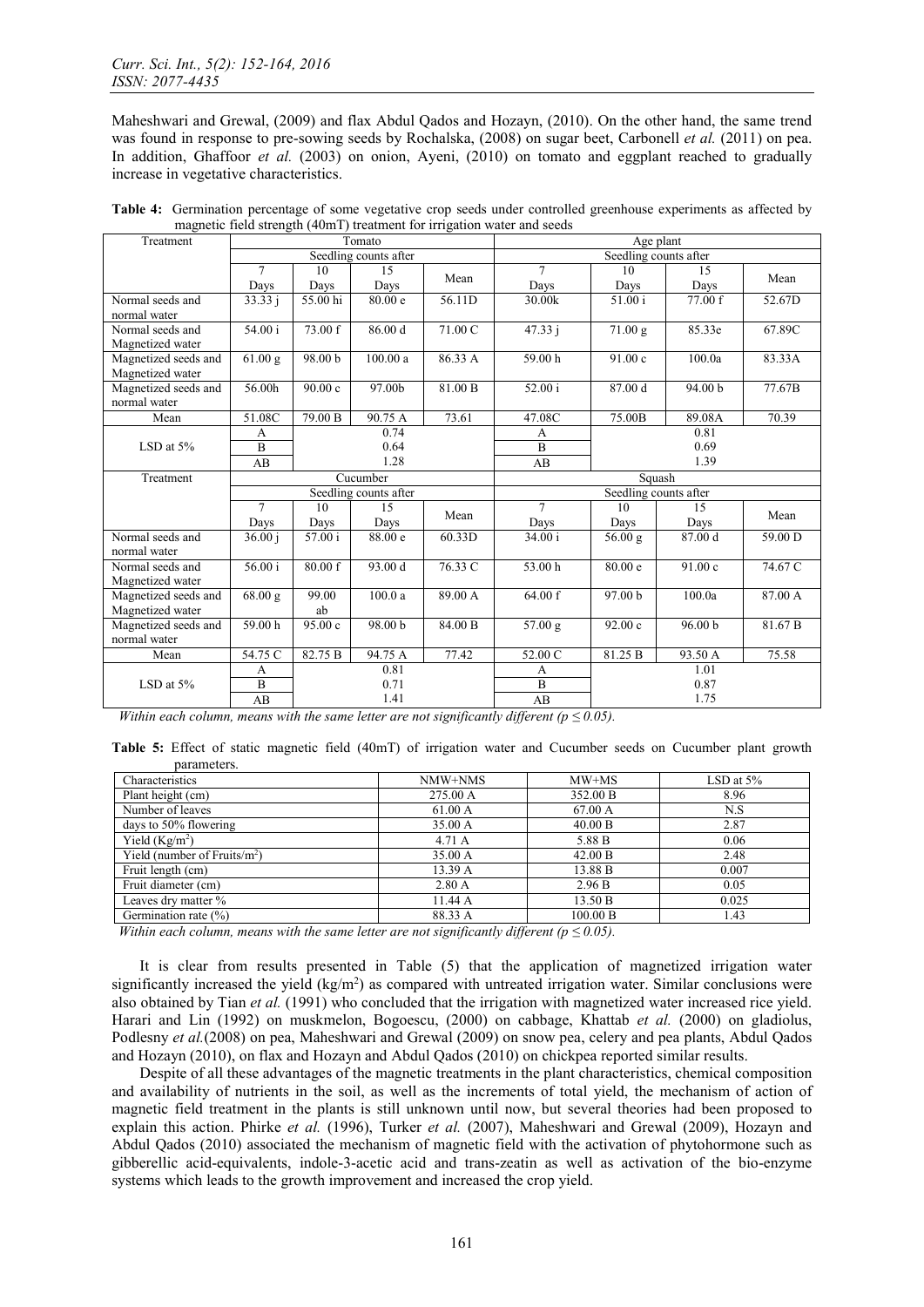Maheshwari and Grewal, (2009) and flax Abdul Qados and Hozayn, (2010). On the other hand, the same trend was found in response to pre-sowing seeds by Rochalska, (2008) on sugar beet, Carbonell *et al.* (2011) on pea. In addition, Ghaffoor *et al.* (2003) on onion, Ayeni, (2010) on tomato and eggplant reached to gradually increase in vegetative characteristics.

| Treatment                                |                |                                                | Tomato                |         | Age plant       |                       |                    |                  |  |  |  |
|------------------------------------------|----------------|------------------------------------------------|-----------------------|---------|-----------------|-----------------------|--------------------|------------------|--|--|--|
|                                          |                |                                                | Seedling counts after |         |                 | Seedling counts after |                    |                  |  |  |  |
|                                          | $\tau$<br>Days | 10<br>Days                                     | 15<br>Days            | Mean    | $\tau$<br>Days  | 10<br>Days            | 15<br>Days         | Mean             |  |  |  |
| Normal seeds and<br>normal water         | 33.33 j        | 55.00 hi                                       | 80.00 e               | 56.11D  | 30.00k          | 51.00 i               | 77.00 f            | 52.67D           |  |  |  |
| Normal seeds and<br>Magnetized water     | 54.00 i        | 73.00 f                                        | 86.00 d               | 71.00 C | 47.33j          | 71.00 g               | 85.33e             | 67.89C           |  |  |  |
| Magnetized seeds and<br>Magnetized water | 61.00 g        | 98.00 b                                        | 100.00a               | 86.33 A | 59.00h          | 91.00 c               | 100.0a             | 83.33A           |  |  |  |
| Magnetized seeds and<br>normal water     | 56.00h         | 90.00c                                         | 97.00b                | 81.00 B | 52.00 i         | 87.00 d               | 94.00 <sub>b</sub> | 77.67B           |  |  |  |
| Mean                                     | 51.08C         | 79.00 B                                        | 90.75 A               | 73.61   | 47.08C          | 75.00B                | 89.08A             | 70.39            |  |  |  |
|                                          | A              |                                                | 0.74                  |         | A               |                       | 0.81               |                  |  |  |  |
| LSD at 5%                                | B              |                                                | 0.64                  |         | $\mathbf B$     | 0.69                  |                    |                  |  |  |  |
|                                          | AB             |                                                | 1.28                  |         | AB              | 1.39                  |                    |                  |  |  |  |
| Treatment                                |                |                                                | Cucumber              |         |                 | Squash                |                    |                  |  |  |  |
|                                          |                | Seedling counts after<br>Seedling counts after |                       |         |                 |                       |                    |                  |  |  |  |
|                                          | $\overline{7}$ | 10                                             | 15                    | Mean    | $\tau$          | 10                    | 15                 | Mean             |  |  |  |
| Normal seeds and                         | Days           | Days<br>57.00 i                                | Days<br>88.00 e       | 60.33D  | Days<br>34.00 i | Days                  | Days<br>87.00 d    | 59.00 D          |  |  |  |
| normal water                             | 36.00 i        |                                                |                       |         |                 | 56.00 g               |                    |                  |  |  |  |
| Normal seeds and<br>Magnetized water     | 56.00 i        | 80.00 f                                        | 93.00 d               | 76.33 C | 53.00 h         | 80.00 e               | 91.00 c            | 74.67 C          |  |  |  |
| Magnetized seeds and<br>Magnetized water | 68.00 g        | 99.00<br>ab                                    | 100.0a                | 89.00 A | 64.00 f         | 97.00 b               | 100.0a             | $87.00\text{ A}$ |  |  |  |
| Magnetized seeds and<br>normal water     | 59.00 h        | 95.00 c                                        | 98.00 b               | 84.00 B | 57.00 g         | 92.00c                | 96.00 <sub>b</sub> | 81.67 B          |  |  |  |
| Mean                                     | 54.75 C        | 82.75 B                                        | 94.75 A               | 77.42   | 52.00 C         | 81.25 B               | 93.50 A            | 75.58            |  |  |  |
|                                          | A              |                                                | 0.81                  |         | A               |                       | 1.01               |                  |  |  |  |
| LSD at 5%                                | $\mathbf B$    |                                                | 0.71                  |         | $\mathbf{B}$    | 0.87                  |                    |                  |  |  |  |
|                                          | AB             |                                                | 1.41                  |         | AB              |                       | 1.75               |                  |  |  |  |

Table 4: Germination percentage of some vegetative crop seeds under controlled greenhouse experiments as affected by magnetic field strength (40mT) treatment for irrigation water and seeds

*Within each column, means with the same letter are not significantly different (* $p \le 0.05$ *).* 

Table 5: Effect of static magnetic field (40mT) of irrigation water and Cucumber seeds on Cucumber plant growth parameters.

| Characteristics                 | NMW+NMS  | $MW+MS$  | LSD at $5\%$ |
|---------------------------------|----------|----------|--------------|
| Plant height (cm)               | 275.00 A | 352.00 B | 8.96         |
| Number of leaves                | 61.00 A  | 67.00 A  | N.S          |
| days to 50% flowering           | 35.00 A  | 40.00 B  | 2.87         |
| Yield $(Kg/m2)$                 | 4.71 A   | 5.88 B   | 0.06         |
| Yield (number of Fruits/ $m2$ ) | 35.00 A  | 42.00 B  | 2.48         |
| Fruit length (cm)               | 13.39 A  | 13.88 B  | 0.007        |
| Fruit diameter (cm)             | 2.80A    | 2.96B    | 0.05         |
| Leaves dry matter %             | 11.44 A  | 13.50 B  | 0.025        |
| Germination rate (%)            | 88.33 A  | 100.00 B | 1.43         |

*Within each column, means with the same letter are not significantly different (* $p \le 0.05$ *).* 

It is clear from results presented in Table (5) that the application of magnetized irrigation water significantly increased the yield  $(kg/m<sup>2</sup>)$  as compared with untreated irrigation water. Similar conclusions were also obtained by Tian *et al.* (1991) who concluded that the irrigation with magnetized water increased rice yield. Harari and Lin (1992) on muskmelon, Bogoescu, (2000) on cabbage, Khattab *et al.* (2000) on gladiolus, Podlesny *et al.*(2008) on pea, Maheshwari and Grewal (2009) on snow pea, celery and pea plants, Abdul Qados and Hozayn (2010), on flax and Hozayn and Abdul Qados (2010) on chickpea reported similar results.

Despite of all these advantages of the magnetic treatments in the plant characteristics, chemical composition and availability of nutrients in the soil, as well as the increments of total yield, the mechanism of action of magnetic field treatment in the plants is still unknown until now, but several theories had been proposed to explain this action. Phirke *et al.* (1996), Turker *et al.* (2007), Maheshwari and Grewal (2009), Hozayn and Abdul Qados (2010) associated the mechanism of magnetic field with the activation of phytohormone such as gibberellic acid-equivalents, indole-3-acetic acid and trans-zeatin as well as activation of the bio-enzyme systems which leads to the growth improvement and increased the crop yield.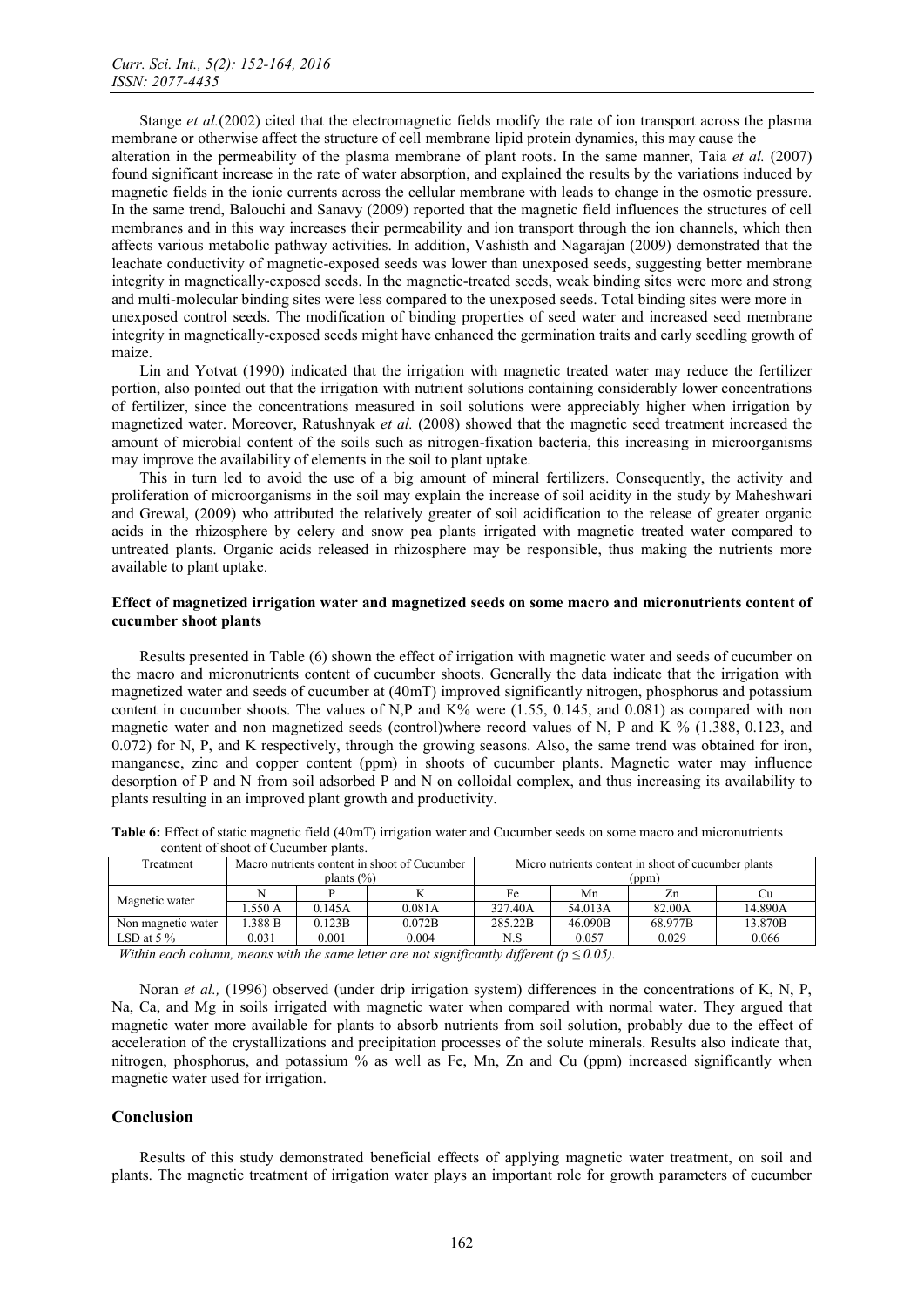Stange *et al.*(2002) cited that the electromagnetic fields modify the rate of ion transport across the plasma membrane or otherwise affect the structure of cell membrane lipid protein dynamics, this may cause the alteration in the permeability of the plasma membrane of plant roots. In the same manner, Taia *et al.* (2007) found significant increase in the rate of water absorption, and explained the results by the variations induced by magnetic fields in the ionic currents across the cellular membrane with leads to change in the osmotic pressure. In the same trend, Balouchi and Sanavy (2009) reported that the magnetic field influences the structures of cell membranes and in this way increases their permeability and ion transport through the ion channels, which then affects various metabolic pathway activities. In addition, Vashisth and Nagarajan (2009) demonstrated that the leachate conductivity of magnetic-exposed seeds was lower than unexposed seeds, suggesting better membrane integrity in magnetically-exposed seeds. In the magnetic-treated seeds, weak binding sites were more and strong and multi-molecular binding sites were less compared to the unexposed seeds. Total binding sites were more in unexposed control seeds. The modification of binding properties of seed water and increased seed membrane integrity in magnetically-exposed seeds might have enhanced the germination traits and early seedling growth of maize.

Lin and Yotvat (1990) indicated that the irrigation with magnetic treated water may reduce the fertilizer portion, also pointed out that the irrigation with nutrient solutions containing considerably lower concentrations of fertilizer, since the concentrations measured in soil solutions were appreciably higher when irrigation by magnetized water. Moreover, Ratushnyak *et al.* (2008) showed that the magnetic seed treatment increased the amount of microbial content of the soils such as nitrogen-fixation bacteria, this increasing in microorganisms may improve the availability of elements in the soil to plant uptake.

This in turn led to avoid the use of a big amount of mineral fertilizers. Consequently, the activity and proliferation of microorganisms in the soil may explain the increase of soil acidity in the study by Maheshwari and Grewal, (2009) who attributed the relatively greater of soil acidification to the release of greater organic acids in the rhizosphere by celery and snow pea plants irrigated with magnetic treated water compared to untreated plants. Organic acids released in rhizosphere may be responsible, thus making the nutrients more available to plant uptake.

# Effect of magnetized irrigation water and magnetized seeds on some macro and micronutrients content of cucumber shoot plants

Results presented in Table (6) shown the effect of irrigation with magnetic water and seeds of cucumber on the macro and micronutrients content of cucumber shoots. Generally the data indicate that the irrigation with magnetized water and seeds of cucumber at (40mT) improved significantly nitrogen, phosphorus and potassium content in cucumber shoots. The values of N,P and  $K\%$  were (1.55, 0.145, and 0.081) as compared with non magnetic water and non magnetized seeds (control)where record values of N, P and K % (1.388, 0.123, and 0.072) for N, P, and K respectively, through the growing seasons. Also, the same trend was obtained for iron, manganese, zinc and copper content (ppm) in shoots of cucumber plants. Magnetic water may influence desorption of P and N from soil adsorbed P and N on colloidal complex, and thus increasing its availability to plants resulting in an improved plant growth and productivity.

| comem or snoot or cacamoci plants. |        |                |                                              |                                                     |         |         |         |  |  |  |
|------------------------------------|--------|----------------|----------------------------------------------|-----------------------------------------------------|---------|---------|---------|--|--|--|
| Treatment                          |        |                | Macro nutrients content in shoot of Cucumber | Micro nutrients content in shoot of cucumber plants |         |         |         |  |  |  |
|                                    |        | plants $(\% )$ |                                              | (ppm)                                               |         |         |         |  |  |  |
| Magnetic water                     |        |                |                                              | Fe                                                  | Mn      |         | Сu      |  |  |  |
|                                    | .550 A | 0.145A         | 0.081A                                       | 327.40A                                             | 54.013A | 82.00A  | 14.890A |  |  |  |
| Non magnetic water                 | .388 B | 0.123B         | 0.072B                                       | 285.22B                                             | 46.090B | 68.977B | 13.870B |  |  |  |
| LSD at $5\%$                       | 0.031  | 0.001          | 0.004                                        | N.S                                                 | 0.057   | 0.029   | 0.066   |  |  |  |

Table 6: Effect of static magnetic field (40mT) irrigation water and Cucumber seeds on some macro and micronutrients content of shoot of Cucumber plants

*Within each column, means with the same letter are not significantly different (p*  $\leq 0.05$ *).* 

Noran *et al.*, (1996) observed (under drip irrigation system) differences in the concentrations of K, N, P, Na, Ca, and Mg in soils irrigated with magnetic water when compared with normal water. They argued that magnetic water more available for plants to absorb nutrients from soil solution, probably due to the effect of acceleration of the crystallizations and precipitation processes of the solute minerals. Results also indicate that, nitrogen, phosphorus, and potassium % as well as Fe, Mn, Zn and Cu (ppm) increased significantly when magnetic water used for irrigation.

# Conclusion

Results of this study demonstrated beneficial effects of applying magnetic water treatment, on soil and plants. The magnetic treatment of irrigation water plays an important role for growth parameters of cucumber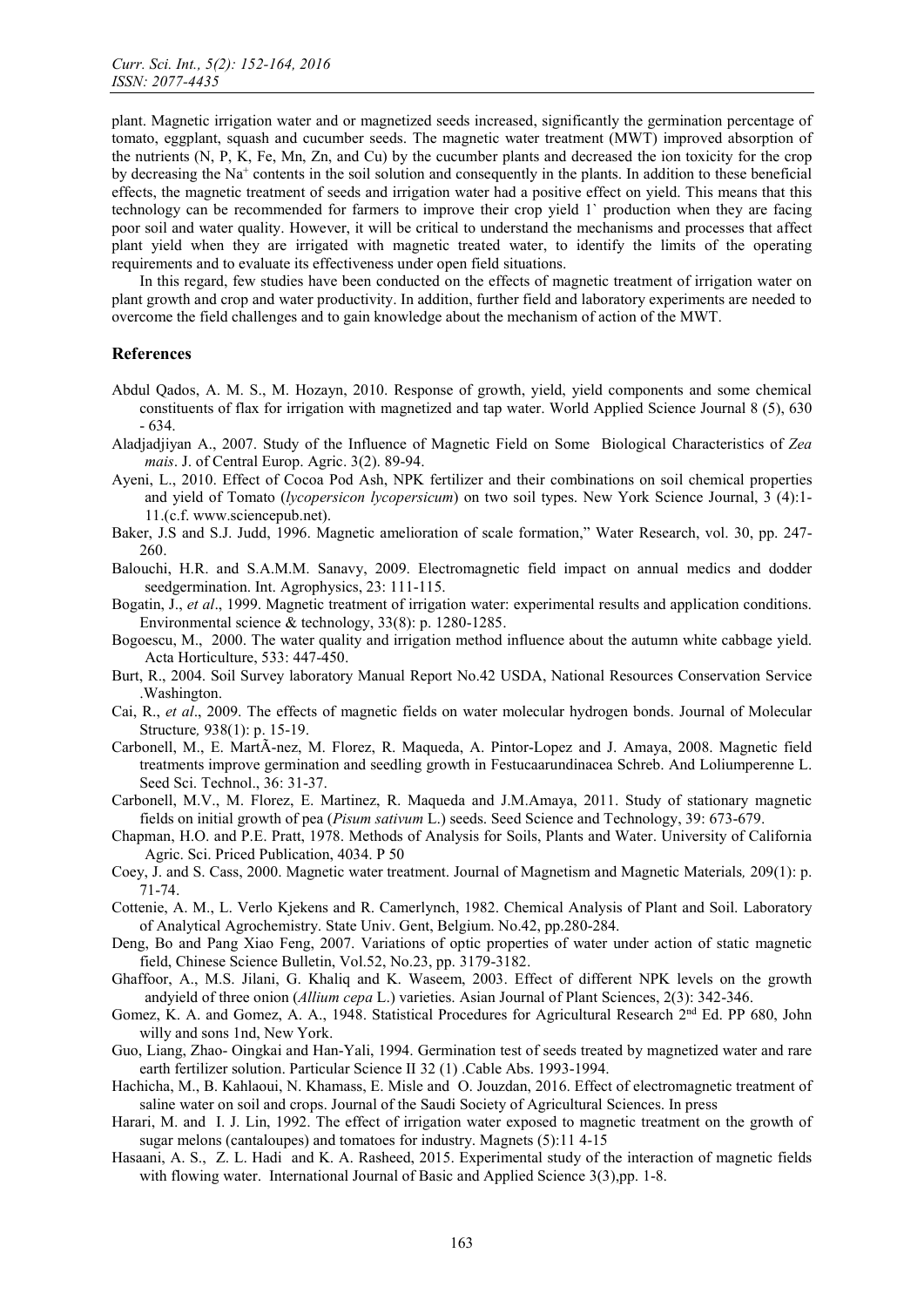plant. Magnetic irrigation water and or magnetized seeds increased, significantly the germination percentage of tomato, eggplant, squash and cucumber seeds. The magnetic water treatment (MWT) improved absorption of the nutrients (N, P, K, Fe, Mn, Zn, and Cu) by the cucumber plants and decreased the ion toxicity for the crop by decreasing the Na+ contents in the soil solution and consequently in the plants. In addition to these beneficial effects, the magnetic treatment of seeds and irrigation water had a positive effect on yield. This means that this technology can be recommended for farmers to improve their crop yield 1` production when they are facing poor soil and water quality. However, it will be critical to understand the mechanisms and processes that affect plant yield when they are irrigated with magnetic treated water, to identify the limits of the operating requirements and to evaluate its effectiveness under open field situations.

In this regard, few studies have been conducted on the effects of magnetic treatment of irrigation water on plant growth and crop and water productivity. In addition, further field and laboratory experiments are needed to overcome the field challenges and to gain knowledge about the mechanism of action of the MWT.

## References

- Abdul Qados, A. M. S., M. Hozayn, 2010. Response of growth, yield, yield components and some chemical constituents of flax for irrigation with magnetized and tap water. World Applied Science Journal 8 (5), 630 - 634.
- Aladjadjiyan A., 2007. Study of the Influence of Magnetic Field on Some Biological Characteristics of *Zea mais*. J. of Central Europ. Agric. 3(2). 89-94.
- Ayeni, L., 2010. Effect of Cocoa Pod Ash, NPK fertilizer and their combinations on soil chemical properties and yield of Tomato (*lycopersicon lycopersicum*) on two soil types. New York Science Journal, 3 (4):1- 11.(c.f. www.sciencepub.net).
- Baker, J.S and S.J. Judd, 1996. Magnetic amelioration of scale formation," Water Research, vol. 30, pp. 247- 260.
- Balouchi, H.R. and S.A.M.M. Sanavy, 2009. Electromagnetic field impact on annual medics and dodder seedgermination. Int. Agrophysics, 23: 111-115.
- Bogatin, J., *et al*., 1999. Magnetic treatment of irrigation water: experimental results and application conditions. Environmental science & technology, 33(8): p. 1280-1285.
- Bogoescu, M., 2000. The water quality and irrigation method influence about the autumn white cabbage yield. Acta Horticulture, 533: 447-450.
- Burt, R., 2004. Soil Survey laboratory Manual Report No.42 USDA, National Resources Conservation Service .Washington.
- Cai, R., *et al*., 2009. The effects of magnetic fields on water molecular hydrogen bonds. Journal of Molecular Structure*,* 938(1): p. 15-19.
- Carbonell, M., E. MartÃ-nez, M. Florez, R. Maqueda, A. Pintor-Lopez and J. Amaya, 2008. Magnetic field treatments improve germination and seedling growth in Festucaarundinacea Schreb. And Loliumperenne L. Seed Sci. Technol., 36: 31-37.
- Carbonell, M.V., M. Florez, E. Martinez, R. Maqueda and J.M.Amaya, 2011. Study of stationary magnetic fields on initial growth of pea (*Pisum sativum* L.) seeds. Seed Science and Technology, 39: 673-679.
- Chapman, H.O. and P.E. Pratt, 1978. Methods of Analysis for Soils, Plants and Water. University of California Agric. Sci. Priced Publication, 4034. P 50
- Coey, J. and S. Cass, 2000. Magnetic water treatment. Journal of Magnetism and Magnetic Materials*,* 209(1): p. 71-74.
- Cottenie, A. M., L. Verlo Kjekens and R. Camerlynch, 1982. Chemical Analysis of Plant and Soil. Laboratory of Analytical Agrochemistry. State Univ. Gent, Belgium. No.42, pp.280-284.
- Deng, Bo and Pang Xiao Feng, 2007. Variations of optic properties of water under action of static magnetic field, Chinese Science Bulletin, Vol.52, No.23, pp. 3179-3182.
- Ghaffoor, A., M.S. Jilani, G. Khaliq and K. Waseem, 2003. Effect of different NPK levels on the growth andyield of three onion (*Allium cepa* L.) varieties. Asian Journal of Plant Sciences, 2(3): 342-346.
- Gomez, K. A. and Gomez, A. A., 1948. Statistical Procedures for Agricultural Research 2nd Ed. PP 680, John willy and sons 1nd, New York.
- Guo, Liang, Zhao- Oingkai and Han-Yali, 1994. Germination test of seeds treated by magnetized water and rare earth fertilizer solution. Particular Science II 32 (1) .Cable Abs. 1993-1994.
- Hachicha, M., B. [Kahlaoui](http://www.sciencedirect.com/science/article/pii/S1658077X16000023), N. Khamass, E. [Misle](http://www.sciencedirect.com/science/article/pii/S1658077X16000023) and O. [Jouzdan](http://www.sciencedirect.com/science/article/pii/S1658077X16000023), 2016. Effect of electromagnetic treatment of saline water on soil and crops. Journal of the Saudi Society of Agricultural Sciences. In press
- Harari, M. and I. J. Lin, 1992. The effect of irrigation water exposed to magnetic treatment on the growth of sugar melons (cantaloupes) and tomatoes for industry. Magnets (5):11 4-15
- Hasaani, A. S., Z. L. Hadi and K. A. Rasheed, 2015. Experimental study of the interaction of magnetic fields with flowing water. International Journal of Basic and Applied Science  $3(3)$ , pp. 1-8.